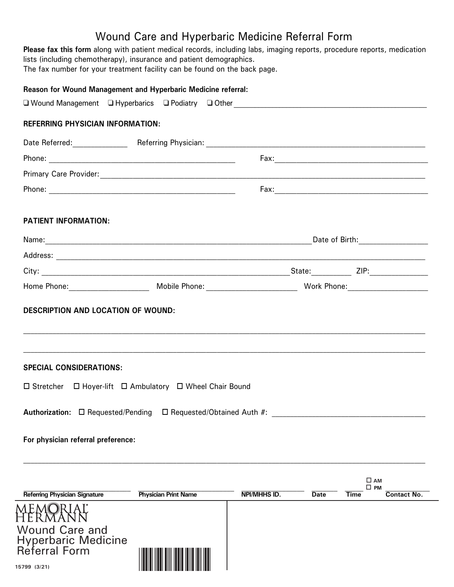# Wound Care and Hyperbaric Medicine Referral Form

**Please fax this form** along with patient medical records, including labs, imaging reports, procedure reports, medication lists (including chemotherapy), insurance and patient demographics.

The fax number for your treatment facility can be found on the back page.

|                                                                               | ,我们也不会有什么?""我们的人,我们也不会有什么?""我们的人,我们也不会有什么?""我们的人,我们也不会有什么?""我们的人,我们也不会有什么?""我们的人 |
|-------------------------------------------------------------------------------|----------------------------------------------------------------------------------|
|                                                                               |                                                                                  |
|                                                                               |                                                                                  |
| $\Box$ Stretcher $\Box$ Hoyer-lift $\Box$ Ambulatory $\Box$ Wheel Chair Bound |                                                                                  |
|                                                                               |                                                                                  |
| Authorization: □ Requested/Pending □ Requested/Obtained Auth #:               |                                                                                  |
|                                                                               |                                                                                  |
|                                                                               |                                                                                  |
|                                                                               | $\square$ AM<br>$\square$ PM                                                     |
|                                                                               |                                                                                  |



Referral Form